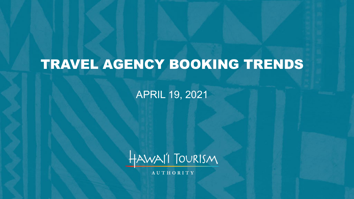# TRAVEL AGENCY BOOKING TRENDS

### APRIL 19, 2021



**AUTHORITY**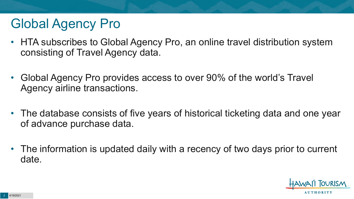# Global Agency Pro

- HTA subscribes to Global Agency Pro, an online travel distribution system consisting of Travel Agency data.
- Global Agency Pro provides access to over 90% of the world's Travel Agency airline transactions.
- The database consists of five years of historical ticketing data and one year of advance purchase data.
- The information is updated daily with a recency of two days prior to current date.

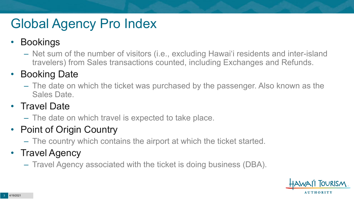# Global Agency Pro Index

#### • Bookings

– Net sum of the number of visitors (i.e., excluding Hawai'i residents and inter-island travelers) from Sales transactions counted, including Exchanges and Refunds.

### • Booking Date

– The date on which the ticket was purchased by the passenger. Also known as the Sales Date.

### • Travel Date

– The date on which travel is expected to take place.

### • Point of Origin Country

– The country which contains the airport at which the ticket started.

### • Travel Agency

– Travel Agency associated with the ticket is doing business (DBA).

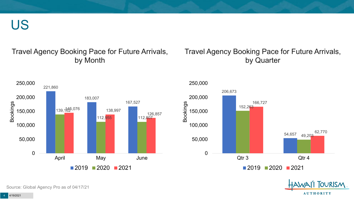US

#### Travel Agency Booking Pace for Future Arrivals, by Month

#### Travel Agency Booking Pace for Future Arrivals, by Quarter







Source: Global Agency Pro as of 04/17/21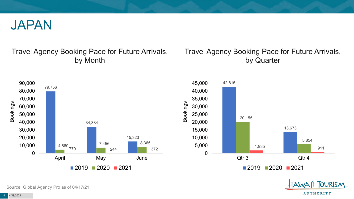

#### Travel Agency Booking Pace for Future Arrivals, by Month

#### Travel Agency Booking Pace for Future Arrivals, by Quarter





Source: Global Agency Pro as of 04/17/21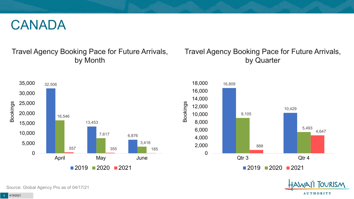### CANADA

#### Travel Agency Booking Pace for Future Arrivals, by Month

#### Travel Agency Booking Pace for Future Arrivals, by Quarter







Source: Global Agency Pro as of 04/17/21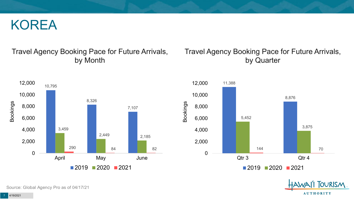### KOREA

#### Travel Agency Booking Pace for Future Arrivals, by Month



#### Travel Agency Booking Pace for Future Arrivals, by Quarter





Source: Global Agency Pro as of 04/17/21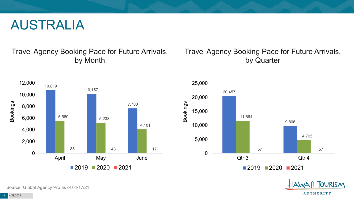### AUSTRALIA

#### Travel Agency Booking Pace for Future Arrivals, by Month



#### Travel Agency Booking Pace for Future Arrivals, by Quarter





Source: Global Agency Pro as of 04/17/21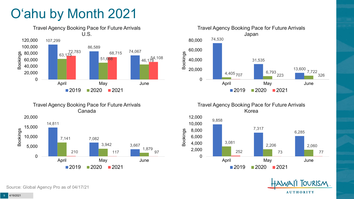# O'ahu by Month 2021





Travel Agency Booking Pace for Future Arrivals Korea





14,811 10,000 15,000 20,000



Travel Agency Booking Pace for Future Arrivals Canada

Source: Global Agency Pro as of 04/17/21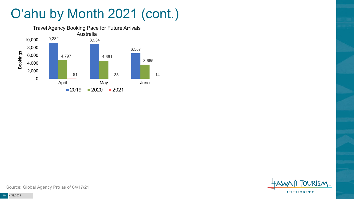# O'ahu by Month 2021 (cont.)



**FOURISM AUTHORITY** 

Source: Global Agency Pro as of 04/17/21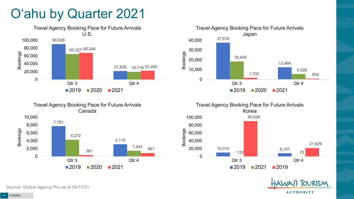# O'ahu by Quarter 2021











Source: Global Agency Pro as of 04/17/21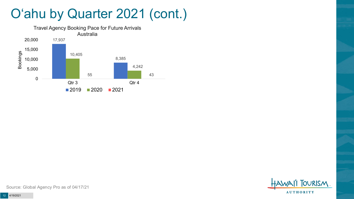# O'ahu by Quarter 2021 (cont.)





Source: Global Agency Pro as of 04/17/21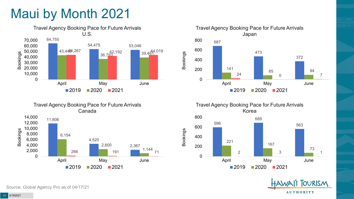# Maui by Month 2021







Travel Agency Booking Pace for Future Arrivals Korea 596 689 563 221 167 73 2 3 1 0 200 400 600 800 April May June  $2019$  2020 2021

Bookings



Source: Global Agency Pro as of 04/17/21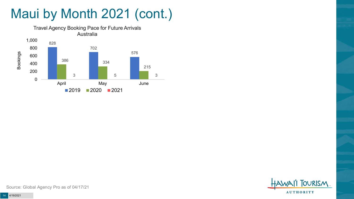# Maui by Month 2021 (cont.)





Source: Global Agency Pro as of 04/17/21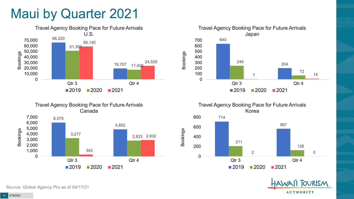## Maui by Quarter 2021









Travel Agency Booking Pace for Future Arrivals Korea



Bookings



Source: Global Agency Pro as of 04/17/21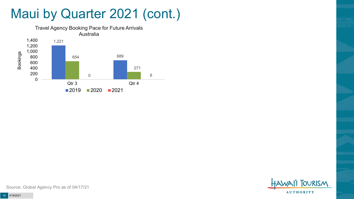## Maui by Quarter 2021 (cont.)





Source: Global Agency Pro as of 04/17/21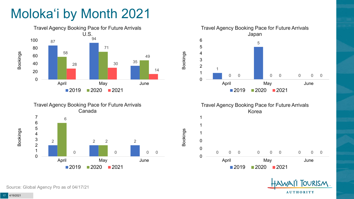# Moloka'i by Month 2021









Bookings



**OURISM AUTHORITY** 

Source: Global Agency Pro as of 04/17/21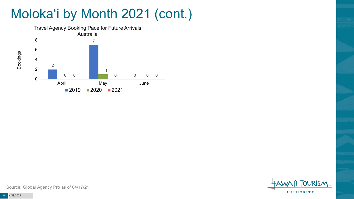# Moloka'i by Month 2021 (cont.)



**TOURISM AUTHORITY** 

Source: Global Agency Pro as of 04/17/21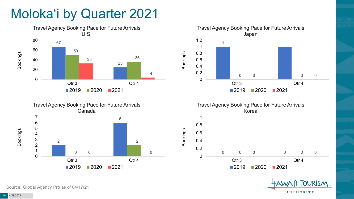# Moloka'i by Quarter 2021









Bookings



Source: Global Agency Pro as of 04/17/21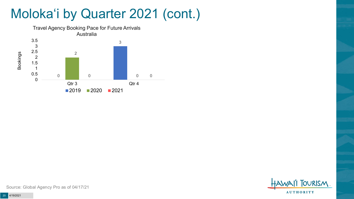# Moloka'i by Quarter 2021 (cont.)



**TOURISM AUTHORITY** 

Source: Global Agency Pro as of 04/17/21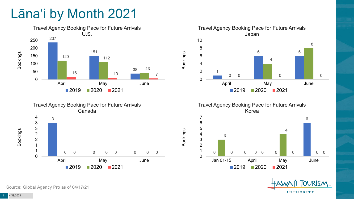# Lāna'i by Month 2021





Travel Agency Booking Pace for Future Arrivals Japan 6  $\Omega$  0 0 April May June 2020 2021

Bookings

Bookings

Travel Agency Booking Pace for Future Arrivals Korea





Source: Global Agency Pro as of 04/17/21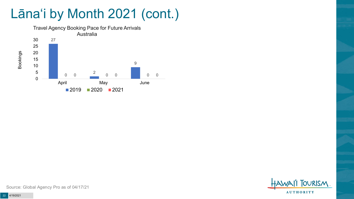# Lāna'i by Month 2021 (cont.)



**FOURISM AUTHORITY** 

Source: Global Agency Pro as of 04/17/21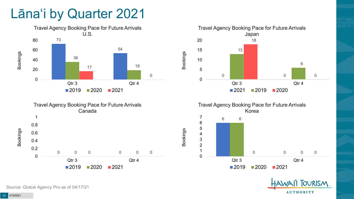## Lāna'i by Quarter 2021











Source: Global Agency Pro as of 04/17/21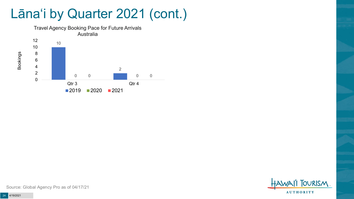## Lāna'i by Quarter 2021 (cont.)



**TOURISM AUTHORITY** 

Source: Global Agency Pro as of 04/17/21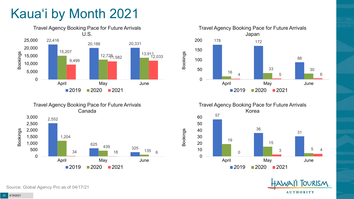# Kaua'i by Month 2021











Source: Global Agency Pro as of 04/17/21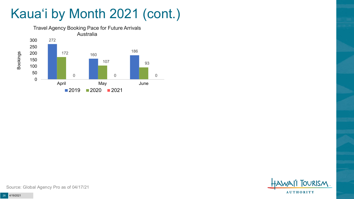# Kaua'i by Month 2021 (cont.)





Source: Global Agency Pro as of 04/17/21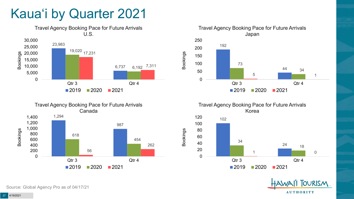# Kaua'i by Quarter 2021







Travel Agency Booking Pace for Future Arrivals Korea



Bookings



Source: Global Agency Pro as of 04/17/21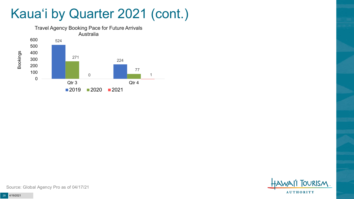# Kaua'i by Quarter 2021 (cont.)





Source: Global Agency Pro as of 04/17/21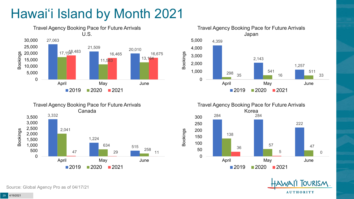# Hawai'i Island by Month 2021











Source: Global Agency Pro as of 04/17/21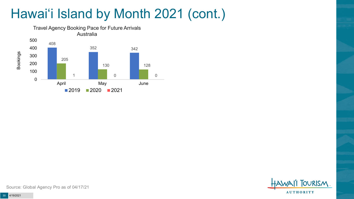# Hawai'i Island by Month 2021 (cont.)





Source: Global Agency Pro as of 04/17/21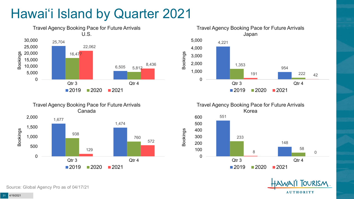# Hawai'i Island by Quarter 2021











Source: Global Agency Pro as of 04/17/21